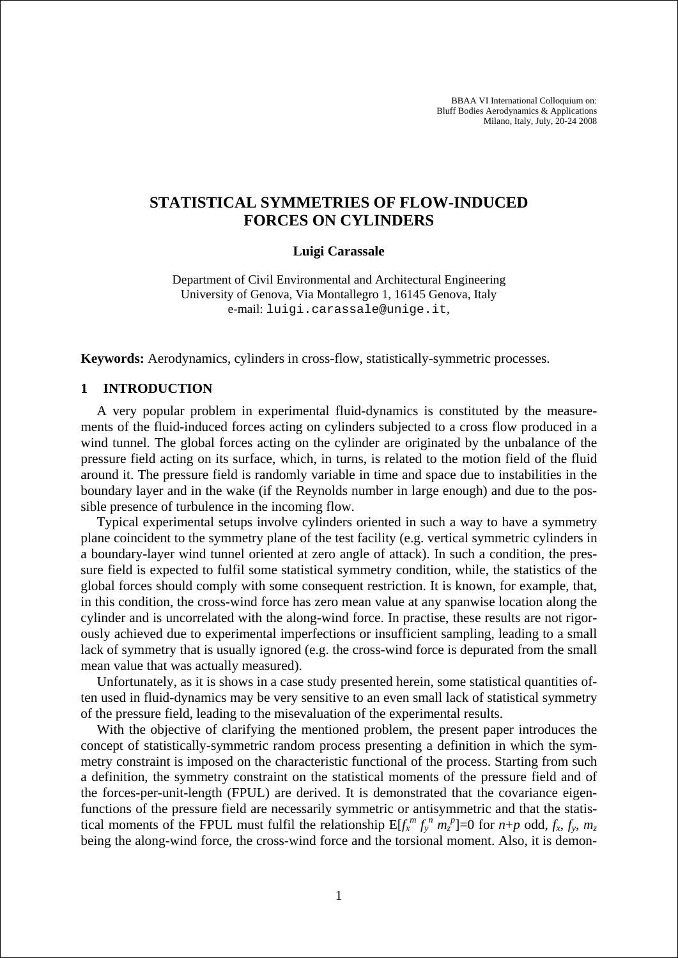BBAA VI International Colloquium on: Bluff Bodies Aerodynamics & Applications Milano, Italy, July, 20-24 2008

# **STATISTICAL SYMMETRIES OF FLOW-INDUCED FORCES ON CYLINDERS**

### **Luigi Carassale**

Department of Civil Environmental and Architectural Engineering University of Genova, Via Montallegro 1, 16145 Genova, Italy e-mail: luigi.carassale@unige.it,

**Keywords:** Aerodynamics, cylinders in cross-flow, statistically-symmetric processes.

### **1 INTRODUCTION**

A very popular problem in experimental fluid-dynamics is constituted by the measurements of the fluid-induced forces acting on cylinders subjected to a cross flow produced in a wind tunnel. The global forces acting on the cylinder are originated by the unbalance of the pressure field acting on its surface, which, in turns, is related to the motion field of the fluid around it. The pressure field is randomly variable in time and space due to instabilities in the boundary layer and in the wake (if the Reynolds number in large enough) and due to the possible presence of turbulence in the incoming flow.

Typical experimental setups involve cylinders oriented in such a way to have a symmetry plane coincident to the symmetry plane of the test facility (e.g. vertical symmetric cylinders in a boundary-layer wind tunnel oriented at zero angle of attack). In such a condition, the pressure field is expected to fulfil some statistical symmetry condition, while, the statistics of the global forces should comply with some consequent restriction. It is known, for example, that, in this condition, the cross-wind force has zero mean value at any spanwise location along the cylinder and is uncorrelated with the along-wind force. In practise, these results are not rigorously achieved due to experimental imperfections or insufficient sampling, leading to a small lack of symmetry that is usually ignored (e.g. the cross-wind force is depurated from the small mean value that was actually measured).

Unfortunately, as it is shows in a case study presented herein, some statistical quantities often used in fluid-dynamics may be very sensitive to an even small lack of statistical symmetry of the pressure field, leading to the misevaluation of the experimental results.

With the objective of clarifying the mentioned problem, the present paper introduces the concept of statistically-symmetric random process presenting a definition in which the symmetry constraint is imposed on the characteristic functional of the process. Starting from such a definition, the symmetry constraint on the statistical moments of the pressure field and of the forces-per-unit-length (FPUL) are derived. It is demonstrated that the covariance eigenfunctions of the pressure field are necessarily symmetric or antisymmetric and that the statistical moments of the FPUL must fulfil the relationship  $E[f_x^m f_y^m m_z^p]=0$  for  $n+p$  odd,  $f_x, f_y, m_z$ being the along-wind force, the cross-wind force and the torsional moment. Also, it is demon-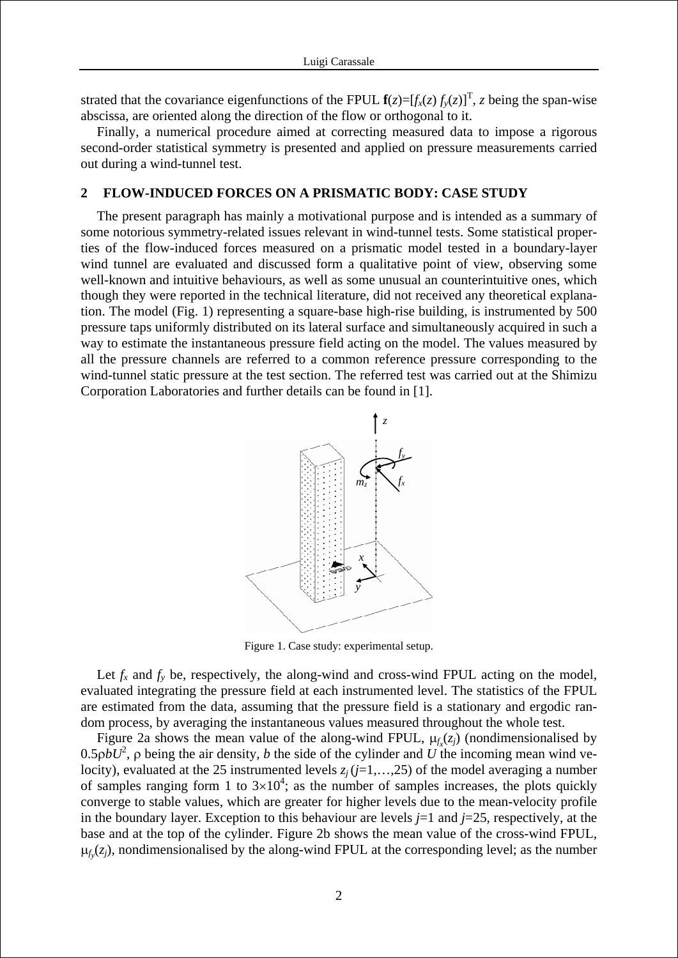strated that the covariance eigenfunctions of the FPUL  $f(z) = [f_x(z) f_y(z)]^T$ , *z* being the span-wise abscissa, are oriented along the direction of the flow or orthogonal to it.

Finally, a numerical procedure aimed at correcting measured data to impose a rigorous second-order statistical symmetry is presented and applied on pressure measurements carried out during a wind-tunnel test.

## **2 FLOW-INDUCED FORCES ON A PRISMATIC BODY: CASE STUDY**

The present paragraph has mainly a motivational purpose and is intended as a summary of some notorious symmetry-related issues relevant in wind-tunnel tests. Some statistical properties of the flow-induced forces measured on a prismatic model tested in a boundary-layer wind tunnel are evaluated and discussed form a qualitative point of view, observing some well-known and intuitive behaviours, as well as some unusual an counterintuitive ones, which though they were reported in the technical literature, did not received any theoretical explanation. The model (Fig. 1) representing a square-base high-rise building, is instrumented by 500 pressure taps uniformly distributed on its lateral surface and simultaneously acquired in such a way to estimate the instantaneous pressure field acting on the model. The values measured by all the pressure channels are referred to a common reference pressure corresponding to the wind-tunnel static pressure at the test section. The referred test was carried out at the Shimizu Corporation Laboratories and further details can be found in [1].



Figure 1. Case study: experimental setup.

Let  $f_x$  and  $f_y$  be, respectively, the along-wind and cross-wind FPUL acting on the model, evaluated integrating the pressure field at each instrumented level. The statistics of the FPUL are estimated from the data, assuming that the pressure field is a stationary and ergodic random process, by averaging the instantaneous values measured throughout the whole test.

Figure 2a shows the mean value of the along-wind FPUL,  $\mu_{f_x}(z_j)$  (nondimensionalised by  $0.5 \rho b U^2$ ,  $\rho$  being the air density, *b* the side of the cylinder and *U* the incoming mean wind velocity), evaluated at the 25 instrumented levels  $z_i$  ( $i=1,...,25$ ) of the model averaging a number of samples ranging form 1 to  $3\times10^4$ ; as the number of samples increases, the plots quickly converge to stable values, which are greater for higher levels due to the mean-velocity profile in the boundary layer. Exception to this behaviour are levels  $j=1$  and  $j=25$ , respectively, at the base and at the top of the cylinder. Figure 2b shows the mean value of the cross-wind FPUL,  $\mu_{f_y}(z_j)$ , nondimensionalised by the along-wind FPUL at the corresponding level; as the number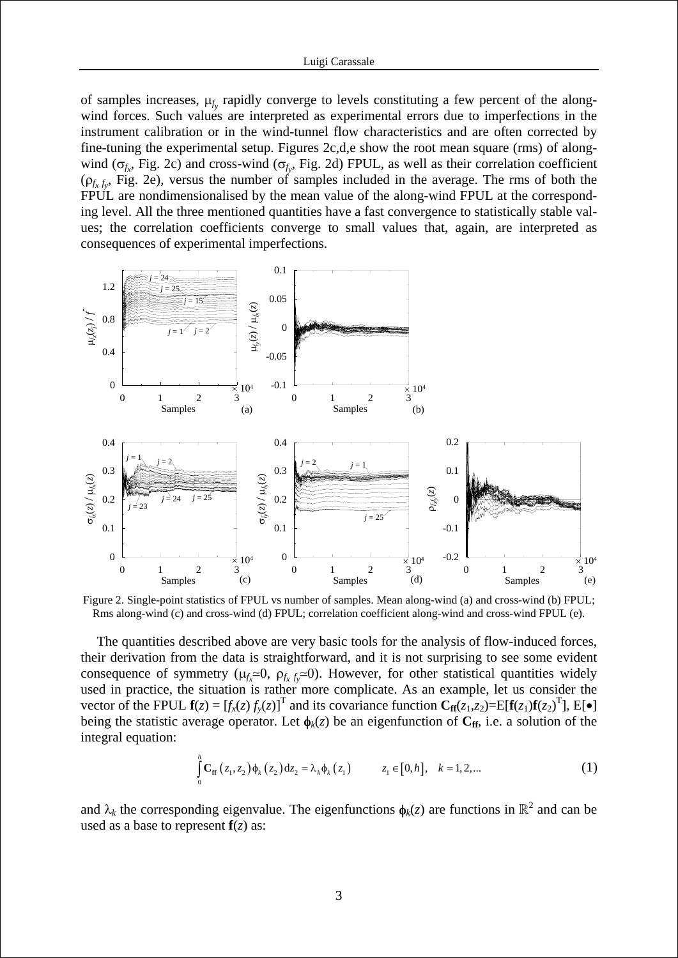of samples increases, μ*fy* rapidly converge to levels constituting a few percent of the alongwind forces. Such values are interpreted as experimental errors due to imperfections in the instrument calibration or in the wind-tunnel flow characteristics and are often corrected by fine-tuning the experimental setup. Figures 2c,d,e show the root mean square (rms) of alongwind ( $\sigma_{f_x}$ , Fig. 2c) and cross-wind ( $\sigma_{f_y}$ , Fig. 2d) FPUL, as well as their correlation coefficient  $(\rho_{f_x f_y}, \text{Fig. 2e})$ , versus the number of samples included in the average. The rms of both the FPUL are nondimensionalised by the mean value of the along-wind FPUL at the corresponding level. All the three mentioned quantities have a fast convergence to statistically stable values; the correlation coefficients converge to small values that, again, are interpreted as consequences of experimental imperfections.



Figure 2. Single-point statistics of FPUL vs number of samples. Mean along-wind (a) and cross-wind (b) FPUL; Rms along-wind (c) and cross-wind (d) FPUL; correlation coefficient along-wind and cross-wind FPUL (e).

The quantities described above are very basic tools for the analysis of flow-induced forces, their derivation from the data is straightforward, and it is not surprising to see some evident consequence of symmetry ( $\mu_{f_x} \approx 0$ ,  $\rho_{f_x} f_y \approx 0$ ). However, for other statistical quantities widely used in practice, the situation is rather more complicate. As an example, let us consider the vector of the FPUL  $\mathbf{f}(z) = [f_x(z) f_y(z)]^T$  and its covariance function  $\mathbf{C}_{\mathbf{f}f}(z_1,z_2) = E[\mathbf{f}(z_1)\mathbf{f}(z_2)^T]$ ,  $E[\bullet]$ being the statistic average operator. Let  $\phi_k(z)$  be an eigenfunction of  $C_{ff}$ , i.e. a solution of the integral equation:

$$
\int_{0}^{h} \mathbf{C}_{\mathbf{f}}(z_1, z_2) \phi_k(z_2) dz_2 = \lambda_k \phi_k(z_1) \qquad z_1 \in [0, h], \quad k = 1, 2, ... \tag{1}
$$

and  $\lambda_k$  the corresponding eigenvalue. The eigenfunctions  $\phi_k(z)$  are functions in  $\mathbb{R}^2$  and can be used as a base to represent  $f(z)$  as: